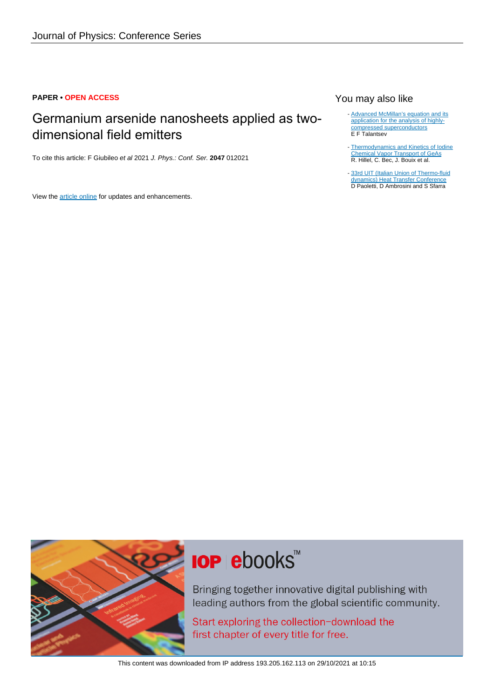### **PAPER • OPEN ACCESS**

## Germanium arsenide nanosheets applied as twodimensional field emitters

To cite this article: F Giubileo et al 2021 J. Phys.: Conf. Ser. **2047** 012021

View the [article online](https://doi.org/10.1088/1742-6596/2047/1/012021) for updates and enhancements.

## You may also like

- [Advanced McMillan's equation and its](/article/10.1088/1361-6668/ab953f) [application for the analysis of highly](/article/10.1088/1361-6668/ab953f)[compressed superconductors](/article/10.1088/1361-6668/ab953f) E F Talantsev
- [Thermodynamics and Kinetics of Iodine](/article/10.1149/1.2124147) [Chemical Vapor Transport of GeAs](/article/10.1149/1.2124147) R. Hillel, C. Bec, J. Bouix et al. -
- [33rd UIT \(Italian Union of Thermo-fluid](/article/10.1088/1742-6596/655/1/011001) [dynamics\) Heat Transfer Conference](/article/10.1088/1742-6596/655/1/011001) D Paoletti, D Ambrosini and S Sfarra -



# **IOP ebooks™**

Bringing together innovative digital publishing with leading authors from the global scientific community.

Start exploring the collection-download the first chapter of every title for free.

This content was downloaded from IP address 193.205.162.113 on 29/10/2021 at 10:15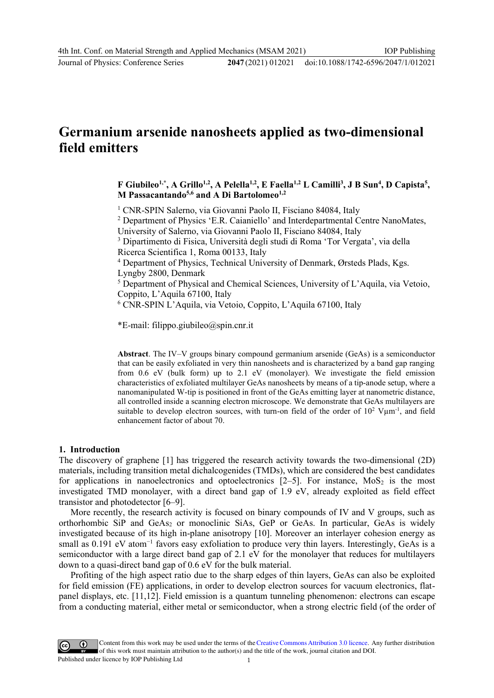2047(2021) 012021 doi:10.1088/1742-6596/2047/1/012021

# **Germanium arsenide nanosheets applied as two-dimensional field emitters**

**F** Giubileo<sup>1,\*</sup>, A Grillo<sup>1,2</sup>, A Pelella<sup>1,2</sup>, E Faella<sup>1,2</sup> L Camilli<sup>3</sup>, J B Sun<sup>4</sup>, D Capista<sup>5</sup>, **M Passacantando5,6 and A Di Bartolomeo1,2**

<sup>1</sup> CNR-SPIN Salerno, via Giovanni Paolo II, Fisciano 84084, Italy

<sup>2</sup> Department of Physics 'E.R. Caianiello' and Interdepartmental Centre NanoMates,

University of Salerno, via Giovanni Paolo II, Fisciano 84084, Italy

<sup>3</sup> Dipartimento di Fisica, Università degli studi di Roma 'Tor Vergata', via della Ricerca Scientifica 1, Roma 00133, Italy

<sup>4</sup> Department of Physics, Technical University of Denmark, Ørsteds Plads, Kgs. Lyngby 2800, Denmark

<sup>5</sup> Department of Physical and Chemical Sciences, University of L'Aquila, via Vetoio, Coppito, L'Aquila 67100, Italy

<sup>6</sup> CNR-SPIN L'Aquila, via Vetoio, Coppito, L'Aquila 67100, Italy

\*E-mail: filippo.giubileo@spin.cnr.it

**Abstract**. The IV–V groups binary compound germanium arsenide (GeAs) is a semiconductor that can be easily exfoliated in very thin nanosheets and is characterized by a band gap ranging from 0.6 eV (bulk form) up to 2.1 eV (monolayer). We investigate the field emission characteristics of exfoliated multilayer GeAs nanosheets by means of a tip-anode setup, where a nanomanipulated W-tip is positioned in front of the GeAs emitting layer at nanometric distance, all controlled inside a scanning electron microscope. We demonstrate that GeAs multilayers are suitable to develop electron sources, with turn-on field of the order of  $10^2$  V $\mu$ m<sup>-1</sup>, and field enhancement factor of about 70.

#### **1. Introduction**

The discovery of graphene [1] has triggered the research activity towards the two-dimensional (2D) materials, including transition metal dichalcogenides (TMDs), which are considered the best candidates for applications in nanoelectronics and optoelectronics  $[2-5]$ . For instance, MoS<sub>2</sub> is the most investigated TMD monolayer, with a direct band gap of 1.9 eV, already exploited as field effect transistor and photodetector [6–9].

More recently, the research activity is focused on binary compounds of IV and V groups, such as orthorhombic SiP and GeAs<sub>2</sub> or monoclinic SiAs, GeP or GeAs. In particular, GeAs is widely investigated because of its high in-plane anisotropy [10]. Moreover an interlayer cohesion energy as small as 0.191 eV atom<sup>-1</sup> favors easy exfoliation to produce very thin layers. Interestingly, GeAs is a semiconductor with a large direct band gap of 2.1 eV for the monolayer that reduces for multilayers down to a quasi-direct band gap of 0.6 eV for the bulk material.

Profiting of the high aspect ratio due to the sharp edges of thin layers, GeAs can also be exploited for field emission (FE) applications, in order to develop electron sources for vacuum electronics, flatpanel displays, etc. [11,12]. Field emission is a quantum tunneling phenomenon: electrons can escape from a conducting material, either metal or semiconductor, when a strong electric field (of the order of

Content from this work may be used under the terms of theCreative Commons Attribution 3.0 licence. Any further distribution of this work must maintain attribution to the author(s) and the title of the work, journal citation and DOI. Published under licence by IOP Publishing Ltd 1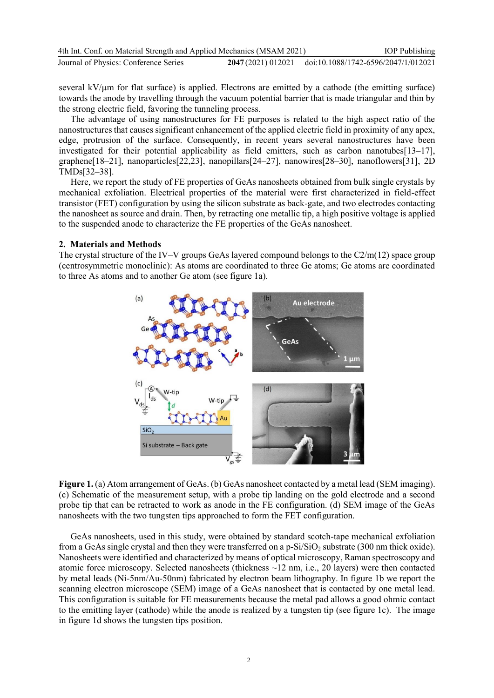| 4th Int. Conf. on Material Strength and Applied Mechanics (MSAM 2021) |                    | <b>IOP</b> Publishing               |
|-----------------------------------------------------------------------|--------------------|-------------------------------------|
| Journal of Physics: Conference Series                                 | 2047 (2021) 012021 | doi:10.1088/1742-6596/2047/1/012021 |

several  $kV/\mu m$  for flat surface) is applied. Electrons are emitted by a cathode (the emitting surface) towards the anode by travelling through the vacuum potential barrier that is made triangular and thin by the strong electric field, favoring the tunneling process.

The advantage of using nanostructures for FE purposes is related to the high aspect ratio of the nanostructures that causes significant enhancement of the applied electric field in proximity of any apex, edge, protrusion of the surface. Consequently, in recent years several nanostructures have been investigated for their potential applicability as field emitters, such as carbon nanotubes[13–17], graphene[18–21], nanoparticles[22,23], nanopillars[24–27], nanowires[28–30], nanoflowers[31], 2D TMDs[32–38].

Here, we report the study of FE properties of GeAs nanosheets obtained from bulk single crystals by mechanical exfoliation. Electrical properties of the material were first characterized in field-effect transistor (FET) configuration by using the silicon substrate as back-gate, and two electrodes contacting the nanosheet as source and drain. Then, by retracting one metallic tip, a high positive voltage is applied to the suspended anode to characterize the FE properties of the GeAs nanosheet.

#### **2. Materials and Methods**

The crystal structure of the IV–V groups GeAs layered compound belongs to the C2/m(12) space group (centrosymmetric monoclinic): As atoms are coordinated to three Ge atoms; Ge atoms are coordinated to three As atoms and to another Ge atom (see figure 1a).



**Figure 1.** (a) Atom arrangement of GeAs. (b) GeAs nanosheet contacted by a metal lead (SEM imaging). (c) Schematic of the measurement setup, with a probe tip landing on the gold electrode and a second probe tip that can be retracted to work as anode in the FE configuration. (d) SEM image of the GeAs nanosheets with the two tungsten tips approached to form the FET configuration.

GeAs nanosheets, used in this study, were obtained by standard scotch-tape mechanical exfoliation from a GeAs single crystal and then they were transferred on a  $p-Si/SiO<sub>2</sub>$  substrate (300 nm thick oxide). Nanosheets were identified and characterized by means of optical microscopy, Raman spectroscopy and atomic force microscopy. Selected nanosheets (thickness ~12 nm, i.e., 20 layers) were then contacted by metal leads (Ni-5nm/Au-50nm) fabricated by electron beam lithography. In figure 1b we report the scanning electron microscope (SEM) image of a GeAs nanosheet that is contacted by one metal lead. This configuration is suitable for FE measurements because the metal pad allows a good ohmic contact to the emitting layer (cathode) while the anode is realized by a tungsten tip (see figure 1c). The image in figure 1d shows the tungsten tips position.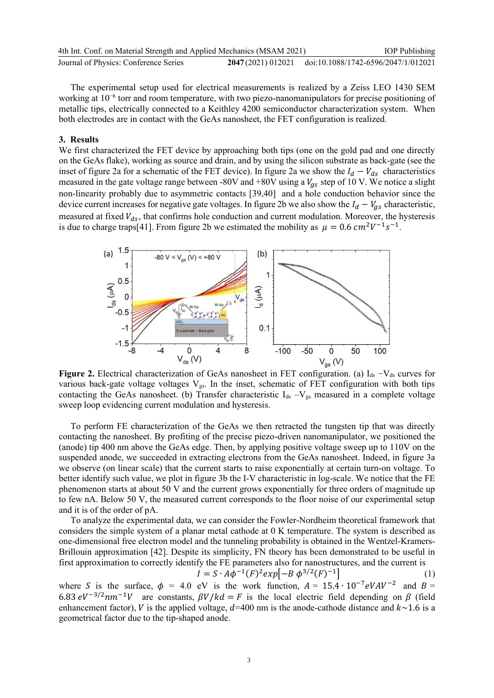| 4th Int. Conf. on Material Strength and Applied Mechanics (MSAM 2021) |                    | <b>IOP</b> Publishing               |
|-----------------------------------------------------------------------|--------------------|-------------------------------------|
| Journal of Physics: Conference Series                                 | 2047 (2021) 012021 | doi:10.1088/1742-6596/2047/1/012021 |

The experimental setup used for electrical measurements is realized by a Zeiss LEO 1430 SEM working at 10<sup>-6</sup> torr and room temperature, with two piezo-nanomanipulators for precise positioning of metallic tips, electrically connected to a Keithley 4200 semiconductor characterization system. When both electrodes are in contact with the GeAs nanosheet, the FET configuration is realized.

#### **3. Results**

We first characterized the FET device by approaching both tips (one on the gold pad and one directly on the GeAs flake), working as source and drain, and by using the silicon substrate as back-gate (see the inset of figure 2a for a schematic of the FET device). In figure 2a we show the  $I_d - V_{ds}$  characteristics measured in the gate voltage range between -80V and +80V using a  $V_{gs}$  step of 10 V. We notice a slight non-linearity probably due to asymmetric contacts [39,40] and a hole conduction behavior since the device current increases for negative gate voltages. In figure 2b we also show the  $I_d - V_{gs}$  characteristic, measured at fixed  $V_{ds}$ , that confirms hole conduction and current modulation. Moreover, the hysteresis is due to charge traps[41]. From figure 2b we estimated the mobility as  $\mu = 0.6 \text{ cm}^2 V^{-1} s^{-1}$ .



**Figure 2.** Electrical characterization of GeAs nanosheet in FET configuration. (a) I<sub>ds</sub> −V<sub>ds</sub> curves for various back-gate voltage voltages  $V_{gs}$ . In the inset, schematic of FET configuration with both tips contacting the GeAs nanosheet. (b) Transfer characteristic  $I_{ds} - V_{gs}$  measured in a complete voltage sweep loop evidencing current modulation and hysteresis.

To perform FE characterization of the GeAs we then retracted the tungsten tip that was directly contacting the nanosheet. By profiting of the precise piezo-driven nanomanipulator, we positioned the (anode) tip 400 nm above the GeAs edge. Then, by applying positive voltage sweep up to 110V on the suspended anode, we succeeded in extracting electrons from the GeAs nanosheet. Indeed, in figure 3a we observe (on linear scale) that the current starts to raise exponentially at certain turn-on voltage. To better identify such value, we plot in figure 3b the I-V characteristic in log-scale. We notice that the FE phenomenon starts at about 50 V and the current grows exponentially for three orders of magnitude up to few nA. Below 50 V, the measured current corresponds to the floor noise of our experimental setup and it is of the order of pA.

To analyze the experimental data, we can consider the Fowler-Nordheim theoretical framework that considers the simple system of a planar metal cathode at 0 K temperature. The system is described as one-dimensional free electron model and the tunneling probability is obtained in the Wentzel-Kramers-Brillouin approximation [42]. Despite its simplicity, FN theory has been demonstrated to be useful in first approximation to correctly identify the FE parameters also for nanostructures, and the current is

$$
I = S \cdot A\phi^{-1}(F)^2 \exp[-B \phi^{3/2}(F)^{-1}] \tag{1}
$$

where S is the surface,  $\phi = 4.0$  eV is the work function,  $A = 15.4 \cdot 10^{-7} eVAV^{-2}$  and  $B =$ 6.83  $eV^{-3/2}nm^{-1}V$  are constants,  $\beta V/kd = F$  is the local electric field depending on  $\beta$  (field enhancement factor), V is the applied voltage,  $d=400$  nm is the anode-cathode distance and  $k \sim 1.6$  is a geometrical factor due to the tip-shaped anode.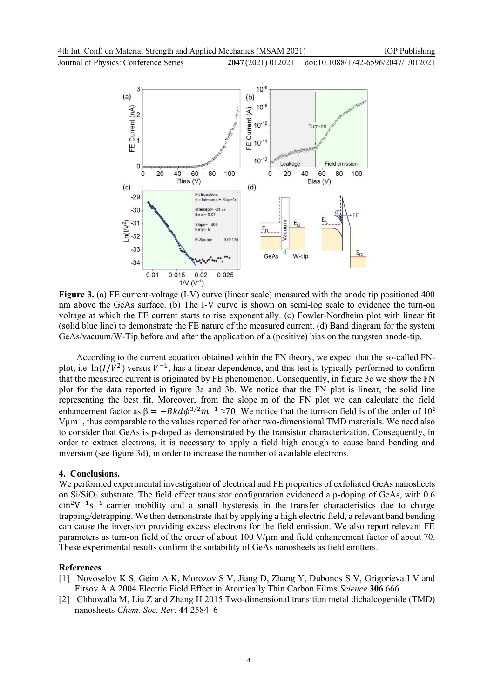Journal of Physics: Conference Series **2047** (2021) 012021





**Figure 3.** (a) FE current-voltage (I-V) curve (linear scale) measured with the anode tip positioned 400 nm above the GeAs surface. (b) The I-V curve is shown on semi-log scale to evidence the turn-on voltage at which the FE current starts to rise exponentially. (c) Fowler-Nordheim plot with linear fit (solid blue line) to demonstrate the FE nature of the measured current. (d) Band diagram for the system GeAs/vacuum/W-Tip before and after the application of a (positive) bias on the tungsten anode-tip.

According to the current equation obtained within the FN theory, we expect that the so-called FNplot, i.e.  $\ln(I/V^2)$  versus  $V^{-1}$ , has a linear dependence, and this test is typically performed to confirm that the measured current is originated by FE phenomenon. Consequently, in figure 3c we show the FN plot for the data reported in figure 3a and 3b. We notice that the FN plot is linear, the solid line representing the best fit. Moreover, from the slope m of the FN plot we can calculate the field enhancement factor as  $\beta = -Bk d\phi^{3/2} m^{-1} \approx 70$ . We notice that the turn-on field is of the order of 10<sup>2</sup> Vum<sup>-1</sup>, thus comparable to the values reported for other two-dimensional TMD materials. We need also to consider that GeAs is p-doped as demonstrated by the transistor characterization. Consequently, in order to extract electrons, it is necessary to apply a field high enough to cause band bending and inversion (see figure 3d), in order to increase the number of available electrons.

#### **4. Conclusions.**

We performed experimental investigation of electrical and FE properties of exfoliated GeAs nanosheets on Si/SiO<sub>2</sub> substrate. The field effect transistor configuration evidenced a p-doping of GeAs, with 0.6  $\text{cm}^2\text{V}^{-1}\text{s}^{-1}$  carrier mobility and a small hysteresis in the transfer characteristics due to charge trapping/detrapping. We then demonstrate that by applying a high electric field, a relevant band bending can cause the inversion providing excess electrons for the field emission. We also report relevant FE parameters as turn-on field of the order of about 100  $V/\mu$ m and field enhancement factor of about 70. These experimental results confirm the suitability of GeAs nanosheets as field emitters.

#### **References**

- [1] Novoselov K S, Geim A K, Morozov S V, Jiang D, Zhang Y, Dubonos S V, Grigorieva I V and Firsov A A 2004 Electric Field Effect in Atomically Thin Carbon Films *Science* **306** 666
- [2] Chhowalla M, Liu Z and Zhang H 2015 Two-dimensional transition metal dichalcogenide (TMD) nanosheets *Chem. Soc. Rev.* **44** 2584–6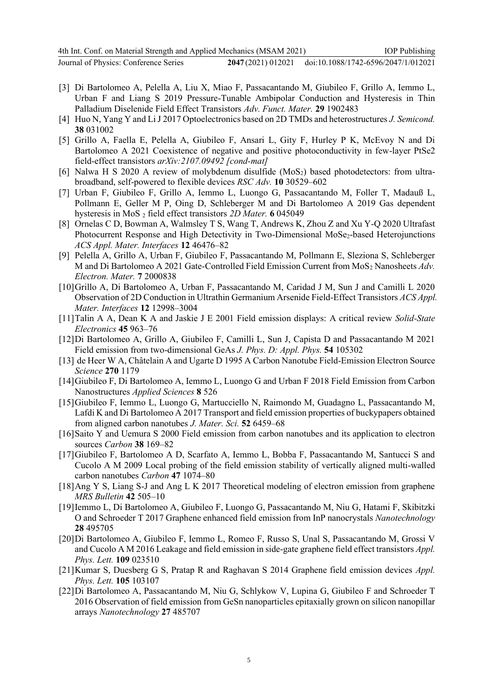- [3] Di Bartolomeo A, Pelella A, Liu X, Miao F, Passacantando M, Giubileo F, Grillo A, Iemmo L, Urban F and Liang S 2019 Pressure‐Tunable Ambipolar Conduction and Hysteresis in Thin Palladium Diselenide Field Effect Transistors *Adv. Funct. Mater.* **29** 1902483
- [4] Huo N, Yang Y and Li J 2017 Optoelectronics based on 2D TMDs and heterostructures *J. Semicond.* **38** 031002
- [5] Grillo A, Faella E, Pelella A, Giubileo F, Ansari L, Gity F, Hurley P K, McEvoy N and Di Bartolomeo A 2021 Coexistence of negative and positive photoconductivity in few-layer PtSe2 field-effect transistors *arXiv:2107.09492 [cond-mat]*
- [6] Nalwa H S 2020 A review of molybdenum disulfide (MoS<sub>2</sub>) based photodetectors: from ultrabroadband, self-powered to flexible devices *RSC Adv.* **10** 30529–602
- [7] Urban F, Giubileo F, Grillo A, Iemmo L, Luongo G, Passacantando M, Foller T, Madauß L, Pollmann E, Geller M P, Oing D, Schleberger M and Di Bartolomeo A 2019 Gas dependent hysteresis in MoS <sup>2</sup> field effect transistors *2D Mater.* **6** 045049
- [8] Ornelas C D, Bowman A, Walmsley T S, Wang T, Andrews K, Zhou Z and Xu Y-Q 2020 Ultrafast Photocurrent Response and High Detectivity in Two-Dimensional MoSe<sub>2</sub>-based Heterojunctions *ACS Appl. Mater. Interfaces* **12** 46476–82
- [9] Pelella A, Grillo A, Urban F, Giubileo F, Passacantando M, Pollmann E, Sleziona S, Schleberger M and Di Bartolomeo A 2021 Gate‐Controlled Field Emission Current from MoS<sup>2</sup> Nanosheets *Adv. Electron. Mater.* **7** 2000838
- [10]Grillo A, Di Bartolomeo A, Urban F, Passacantando M, Caridad J M, Sun J and Camilli L 2020 Observation of 2D Conduction in Ultrathin Germanium Arsenide Field-Effect Transistors *ACS Appl. Mater. Interfaces* **12** 12998–3004
- [11]Talin A A, Dean K A and Jaskie J E 2001 Field emission displays: A critical review *Solid-State Electronics* **45** 963–76
- [12]Di Bartolomeo A, Grillo A, Giubileo F, Camilli L, Sun J, Capista D and Passacantando M 2021 Field emission from two-dimensional GeAs *J. Phys. D: Appl. Phys.* **54** 105302
- [13] de Heer W A, Châtelain A and Ugarte D 1995 A Carbon Nanotube Field-Emission Electron Source *Science* **270** 1179
- [14]Giubileo F, Di Bartolomeo A, Iemmo L, Luongo G and Urban F 2018 Field Emission from Carbon Nanostructures *Applied Sciences* **8** 526
- [15]Giubileo F, Iemmo L, Luongo G, Martucciello N, Raimondo M, Guadagno L, Passacantando M, Lafdi K and Di Bartolomeo A 2017 Transport and field emission properties of buckypapers obtained from aligned carbon nanotubes *J. Mater. Sci.* **52** 6459–68
- [16]Saito Y and Uemura S 2000 Field emission from carbon nanotubes and its application to electron sources *Carbon* **38** 169–82
- [17]Giubileo F, Bartolomeo A D, Scarfato A, Iemmo L, Bobba F, Passacantando M, Santucci S and Cucolo A M 2009 Local probing of the field emission stability of vertically aligned multi-walled carbon nanotubes *Carbon* **47** 1074–80
- [18]Ang Y S, Liang S-J and Ang L K 2017 Theoretical modeling of electron emission from graphene *MRS Bulletin* **42** 505–10
- [19]Iemmo L, Di Bartolomeo A, Giubileo F, Luongo G, Passacantando M, Niu G, Hatami F, Skibitzki O and Schroeder T 2017 Graphene enhanced field emission from InP nanocrystals *Nanotechnology* **28** 495705
- [20]Di Bartolomeo A, Giubileo F, Iemmo L, Romeo F, Russo S, Unal S, Passacantando M, Grossi V and Cucolo A M 2016 Leakage and field emission in side-gate graphene field effect transistors *Appl. Phys. Lett.* **109** 023510
- [21]Kumar S, Duesberg G S, Pratap R and Raghavan S 2014 Graphene field emission devices *Appl. Phys. Lett.* **105** 103107
- [22]Di Bartolomeo A, Passacantando M, Niu G, Schlykow V, Lupina G, Giubileo F and Schroeder T 2016 Observation of field emission from GeSn nanoparticles epitaxially grown on silicon nanopillar arrays *Nanotechnology* **27** 485707